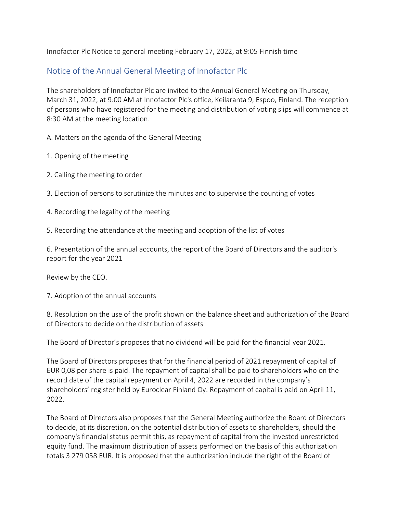Innofactor Plc Notice to general meeting February 17, 2022, at 9:05 Finnish time

## Notice of the Annual General Meeting of Innofactor Plc

The shareholders of Innofactor Plc are invited to the Annual General Meeting on Thursday, March 31, 2022, at 9:00 AM at Innofactor Plc's office, Keilaranta 9, Espoo, Finland. The reception of persons who have registered for the meeting and distribution of voting slips will commence at 8:30 AM at the meeting location.

A. Matters on the agenda of the General Meeting

- 1. Opening of the meeting
- 2. Calling the meeting to order
- 3. Election of persons to scrutinize the minutes and to supervise the counting of votes
- 4. Recording the legality of the meeting
- 5. Recording the attendance at the meeting and adoption of the list of votes

6. Presentation of the annual accounts, the report of the Board of Directors and the auditor's report for the year 2021

Review by the CEO.

7. Adoption of the annual accounts

8. Resolution on the use of the profit shown on the balance sheet and authorization of the Board of Directors to decide on the distribution of assets

The Board of Director's proposes that no dividend will be paid for the financial year 2021.

The Board of Directors proposes that for the financial period of 2021 repayment of capital of EUR 0,08 per share is paid. The repayment of capital shall be paid to shareholders who on the record date of the capital repayment on April 4, 2022 are recorded in the company's shareholders' register held by Euroclear Finland Oy. Repayment of capital is paid on April 11, 2022.

The Board of Directors also proposes that the General Meeting authorize the Board of Directors to decide, at its discretion, on the potential distribution of assets to shareholders, should the company's financial status permit this, as repayment of capital from the invested unrestricted equity fund. The maximum distribution of assets performed on the basis of this authorization totals 3 279 058 EUR. It is proposed that the authorization include the right of the Board of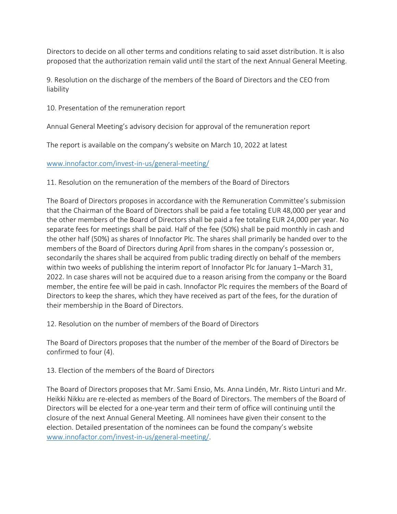Directors to decide on all other terms and conditions relating to said asset distribution. It is also proposed that the authorization remain valid until the start of the next Annual General Meeting.

9. Resolution on the discharge of the members of the Board of Directors and the CEO from liability

10. Presentation of the remuneration report

Annual General Meeting's advisory decision for approval of the remuneration report

The report is available on the company's website on March 10, 2022 at latest

[www.innofactor.com/invest-in-us/general-meeting/](https://www.innofactor.com/invest-in-us/general-meeting/)

11. Resolution on the remuneration of the members of the Board of Directors

The Board of Directors proposes in accordance with the Remuneration Committee's submission that the Chairman of the Board of Directors shall be paid a fee totaling EUR 48,000 per year and the other members of the Board of Directors shall be paid a fee totaling EUR 24,000 per year. No separate fees for meetings shall be paid. Half of the fee (50%) shall be paid monthly in cash and the other half (50%) as shares of Innofactor Plc. The shares shall primarily be handed over to the members of the Board of Directors during April from shares in the company's possession or, secondarily the shares shall be acquired from public trading directly on behalf of the members within two weeks of publishing the interim report of Innofactor Plc for January 1–March 31, 2022. In case shares will not be acquired due to a reason arising from the company or the Board member, the entire fee will be paid in cash. Innofactor Plc requires the members of the Board of Directors to keep the shares, which they have received as part of the fees, for the duration of their membership in the Board of Directors.

12. Resolution on the number of members of the Board of Directors

The Board of Directors proposes that the number of the member of the Board of Directors be confirmed to four (4).

13. Election of the members of the Board of Directors

The Board of Directors proposes that Mr. Sami Ensio, Ms. Anna Lindén, Mr. Risto Linturi and Mr. Heikki Nikku are re-elected as members of the Board of Directors. The members of the Board of Directors will be elected for a one-year term and their term of office will continuing until the closure of the next Annual General Meeting. All nominees have given their consent to the election. Detailed presentation of the nominees can be found the company's website [www.innofactor.com/invest-in-us/general-meeting/.](https://www.innofactor.com/invest-in-us/general-meeting/)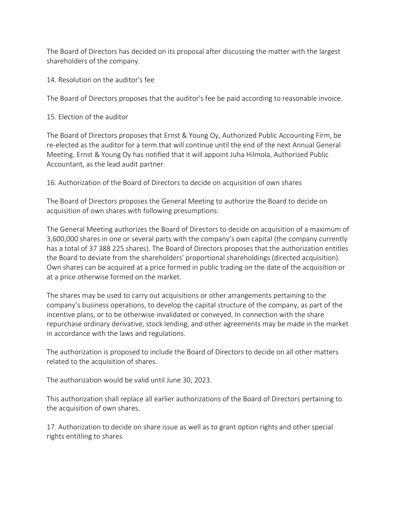The Board of Directors has decided on its proposal after discussing the matter with the largest shareholders of the company.

14. Resolution on the auditor's fee

The Board of Directors proposes that the auditor's fee be paid according to reasonable invoice.

15. Election of the auditor

The Board of Directors proposes that Ernst & Young Oy, Authorized Public Accounting Firm, be re-elected as the auditor for a term that will continue until the end of the next Annual General Meeting. Ernst & Young Oy has notified that it will appoint Juha Hilmola, Authorized Public Accountant, as the lead audit partner.

16. Authorization of the Board of Directors to decide on acquisition of own shares

The Board of Directors proposes the General Meeting to authorize the Board to decide on acquisition of own shares with following presumptions:

The General Meeting authorizes the Board of Directors to decide on acquisition of a maximum of 3,600,000 shares in one or several parts with the company's own capital (the company currently has a total of 37 388 225 shares). The Board of Directors proposes that the authorization entitles the Board to deviate from the shareholders' proportional shareholdings (directed acquisition). Own shares can be acquired at a price formed in public trading on the date of the acquisition or at a price otherwise formed on the market.

The shares may be used to carry out acquisitions or other arrangements pertaining to the company's business operations, to develop the capital structure of the company, as part of the incentive plans, or to be otherwise invalidated or conveyed. In connection with the share repurchase ordinary derivative, stock lending, and other agreements may be made in the market in accordance with the laws and regulations.

The authorization is proposed to include the Board of Directors to decide on all other matters related to the acquisition of shares.

The authorization would be valid until June 30, 2023.

This authorization shall replace all earlier authorizations of the Board of Directors pertaining to the acquisition of own shares.

17. Authorization to decide on share issue as well as to grant option rights and other special rights entitling to shares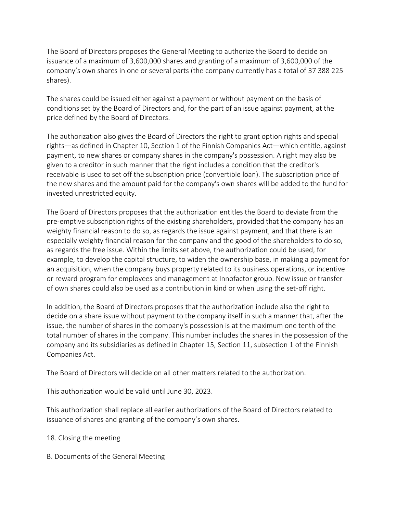The Board of Directors proposes the General Meeting to authorize the Board to decide on issuance of a maximum of 3,600,000 shares and granting of a maximum of 3,600,000 of the company's own shares in one or several parts (the company currently has a total of 37 388 225 shares).

The shares could be issued either against a payment or without payment on the basis of conditions set by the Board of Directors and, for the part of an issue against payment, at the price defined by the Board of Directors.

The authorization also gives the Board of Directors the right to grant option rights and special rights—as defined in Chapter 10, Section 1 of the Finnish Companies Act—which entitle, against payment, to new shares or company shares in the company's possession. A right may also be given to a creditor in such manner that the right includes a condition that the creditor's receivable is used to set off the subscription price (convertible loan). The subscription price of the new shares and the amount paid for the company's own shares will be added to the fund for invested unrestricted equity.

The Board of Directors proposes that the authorization entitles the Board to deviate from the pre-emptive subscription rights of the existing shareholders, provided that the company has an weighty financial reason to do so, as regards the issue against payment, and that there is an especially weighty financial reason for the company and the good of the shareholders to do so, as regards the free issue. Within the limits set above, the authorization could be used, for example, to develop the capital structure, to widen the ownership base, in making a payment for an acquisition, when the company buys property related to its business operations, or incentive or reward program for employees and management at Innofactor group. New issue or transfer of own shares could also be used as a contribution in kind or when using the set-off right.

In addition, the Board of Directors proposes that the authorization include also the right to decide on a share issue without payment to the company itself in such a manner that, after the issue, the number of shares in the company's possession is at the maximum one tenth of the total number of shares in the company. This number includes the shares in the possession of the company and its subsidiaries as defined in Chapter 15, Section 11, subsection 1 of the Finnish Companies Act.

The Board of Directors will decide on all other matters related to the authorization.

This authorization would be valid until June 30, 2023.

This authorization shall replace all earlier authorizations of the Board of Directors related to issuance of shares and granting of the company's own shares.

## 18. Closing the meeting

B. Documents of the General Meeting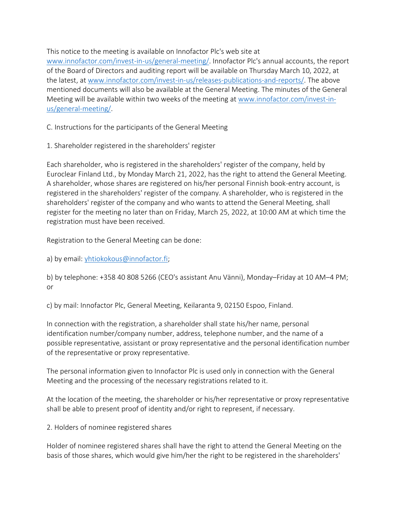This notice to the meeting is available on Innofactor Plc's web site at [www.innofactor.com/invest-in-us/general-meeting/.](https://www.innofactor.com/invest-in-us/general-meeting/) Innofactor Plc's annual accounts, the report of the Board of Directors and auditing report will be available on Thursday March 10, 2022, at the latest, at [www.innofactor.com/invest-in-us/releases-publications-and-reports/.](https://www.innofactor.com/invest-in-us/releases-publications-and-reports/) The above mentioned documents will also be available at the General Meeting. The minutes of the General Meeting will be available within two weeks of the meeting at [www.innofactor.com/invest-in](https://www.innofactor.com/invest-in-us/general-meeting/)[us/general-meeting/.](https://www.innofactor.com/invest-in-us/general-meeting/)

C. Instructions for the participants of the General Meeting

1. Shareholder registered in the shareholders' register

Each shareholder, who is registered in the shareholders' register of the company, held by Euroclear Finland Ltd., by Monday March 21, 2022, has the right to attend the General Meeting. A shareholder, whose shares are registered on his/her personal Finnish book-entry account, is registered in the shareholders' register of the company. A shareholder, who is registered in the shareholders' register of the company and who wants to attend the General Meeting, shall register for the meeting no later than on Friday, March 25, 2022, at 10:00 AM at which time the registration must have been received.

Registration to the General Meeting can be done:

a) by email: [yhtiokokous@innofactor.fi;](mailto:yhtiokokous@innofactor.fi)

b) by telephone: +358 40 808 5266 (CEO's assistant Anu Vänni), Monday–Friday at 10 AM–4 PM; or

c) by mail: Innofactor Plc, General Meeting, Keilaranta 9, 02150 Espoo, Finland.

In connection with the registration, a shareholder shall state his/her name, personal identification number/company number, address, telephone number, and the name of a possible representative, assistant or proxy representative and the personal identification number of the representative or proxy representative.

The personal information given to Innofactor Plc is used only in connection with the General Meeting and the processing of the necessary registrations related to it.

At the location of the meeting, the shareholder or his/her representative or proxy representative shall be able to present proof of identity and/or right to represent, if necessary.

2. Holders of nominee registered shares

Holder of nominee registered shares shall have the right to attend the General Meeting on the basis of those shares, which would give him/her the right to be registered in the shareholders'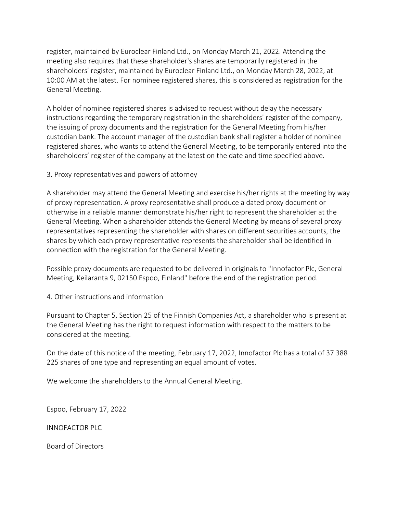register, maintained by Euroclear Finland Ltd., on Monday March 21, 2022. Attending the meeting also requires that these shareholder's shares are temporarily registered in the shareholders' register, maintained by Euroclear Finland Ltd., on Monday March 28, 2022, at 10:00 AM at the latest. For nominee registered shares, this is considered as registration for the General Meeting.

A holder of nominee registered shares is advised to request without delay the necessary instructions regarding the temporary registration in the shareholders' register of the company, the issuing of proxy documents and the registration for the General Meeting from his/her custodian bank. The account manager of the custodian bank shall register a holder of nominee registered shares, who wants to attend the General Meeting, to be temporarily entered into the shareholders' register of the company at the latest on the date and time specified above.

3. Proxy representatives and powers of attorney

A shareholder may attend the General Meeting and exercise his/her rights at the meeting by way of proxy representation. A proxy representative shall produce a dated proxy document or otherwise in a reliable manner demonstrate his/her right to represent the shareholder at the General Meeting. When a shareholder attends the General Meeting by means of several proxy representatives representing the shareholder with shares on different securities accounts, the shares by which each proxy representative represents the shareholder shall be identified in connection with the registration for the General Meeting.

Possible proxy documents are requested to be delivered in originals to "Innofactor Plc, General Meeting, Keilaranta 9, 02150 Espoo, Finland" before the end of the registration period.

4. Other instructions and information

Pursuant to Chapter 5, Section 25 of the Finnish Companies Act, a shareholder who is present at the General Meeting has the right to request information with respect to the matters to be considered at the meeting.

On the date of this notice of the meeting, February 17, 2022, Innofactor Plc has a total of 37 388 225 shares of one type and representing an equal amount of votes.

We welcome the shareholders to the Annual General Meeting.

Espoo, February 17, 2022

INNOFACTOR PLC

Board of Directors